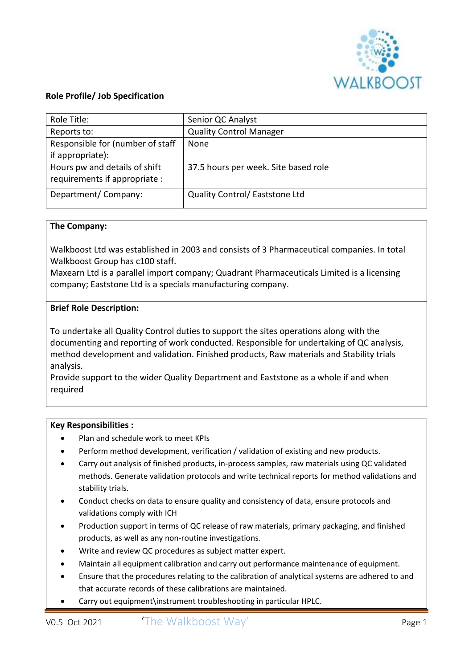

# **Role Profile/ Job Specification**

| Role Title:                      | Senior QC Analyst                    |
|----------------------------------|--------------------------------------|
| Reports to:                      | <b>Quality Control Manager</b>       |
| Responsible for (number of staff | None                                 |
| if appropriate):                 |                                      |
| Hours pw and details of shift    | 37.5 hours per week. Site based role |
| requirements if appropriate :    |                                      |
| Department/Company:              | Quality Control/ Eaststone Ltd       |

### **The Company:**

Walkboost Ltd was established in 2003 and consists of 3 Pharmaceutical companies. In total Walkboost Group has c100 staff.

Maxearn Ltd is a parallel import company; Quadrant Pharmaceuticals Limited is a licensing company; Eaststone Ltd is a specials manufacturing company.

#### **Brief Role Description:**

To undertake all Quality Control duties to support the sites operations along with the documenting and reporting of work conducted. Responsible for undertaking of QC analysis, method development and validation. Finished products, Raw materials and Stability trials analysis.

Provide support to the wider Quality Department and Eaststone as a whole if and when required

### **Key Responsibilities :**

- Plan and schedule work to meet KPIs
- Perform method development, verification / validation of existing and new products.
- Carry out analysis of finished products, in-process samples, raw materials using QC validated methods. Generate validation protocols and write technical reports for method validations and stability trials.
- Conduct checks on data to ensure quality and consistency of data, ensure protocols and validations comply with ICH
- Production support in terms of QC release of raw materials, primary packaging, and finished products, as well as any non-routine investigations.
- Write and review QC procedures as subject matter expert.
- Maintain all equipment calibration and carry out performance maintenance of equipment.
- Ensure that the procedures relating to the calibration of analytical systems are adhered to and that accurate records of these calibrations are maintained.
- Carry out equipment\instrument troubleshooting in particular HPLC.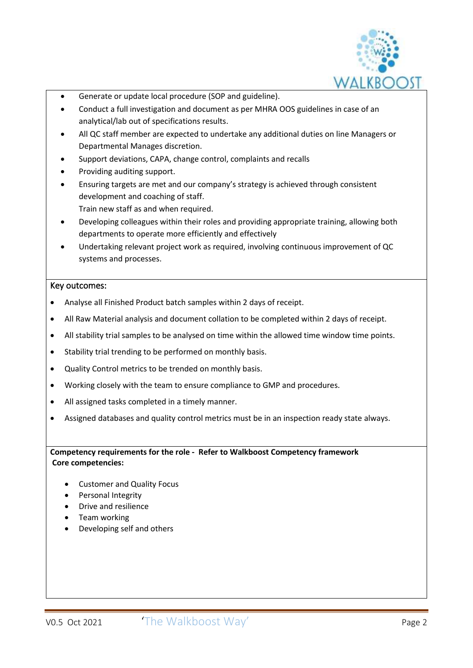

- Generate or update local procedure (SOP and guideline).
- Conduct a full investigation and document as per MHRA OOS guidelines in case of an analytical/lab out of specifications results.
- All QC staff member are expected to undertake any additional duties on line Managers or Departmental Manages discretion.
- Support deviations, CAPA, change control, complaints and recalls
- Providing auditing support.
- Ensuring targets are met and our company's strategy is achieved through consistent development and coaching of staff.
	- Train new staff as and when required.
- Developing colleagues within their roles and providing appropriate training, allowing both departments to operate more efficiently and effectively
- Undertaking relevant project work as required, involving continuous improvement of QC systems and processes.

## Key outcomes:

- Analyse all Finished Product batch samples within 2 days of receipt.
- All Raw Material analysis and document collation to be completed within 2 days of receipt.
- All stability trial samples to be analysed on time within the allowed time window time points.
- Stability trial trending to be performed on monthly basis.
- Quality Control metrics to be trended on monthly basis.
- Working closely with the team to ensure compliance to GMP and procedures.
- All assigned tasks completed in a timely manner.
- Assigned databases and quality control metrics must be in an inspection ready state always.

**Competency requirements for the role - Refer to Walkboost Competency framework Core competencies:**

- Customer and Quality Focus
- Personal Integrity
- Drive and resilience
- Team working
- Developing self and others